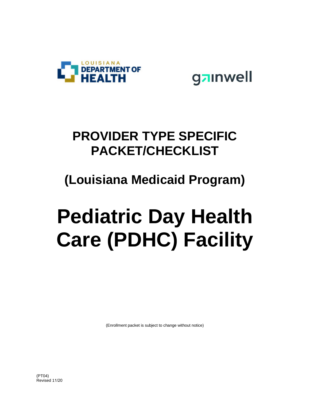



### **PROVIDER TYPE SPECIFIC PACKET/CHECKLIST**

### **(Louisiana Medicaid Program)**

# **Pediatric Day Health Care (PDHC) Facility**

(Enrollment packet is subject to change without notice)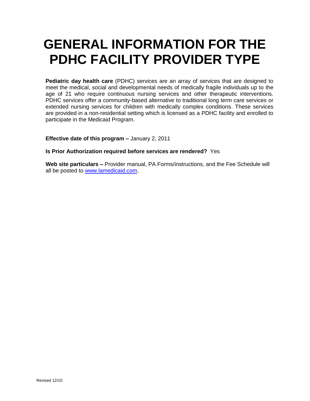## **GENERAL INFORMATION FOR THE PDHC FACILITY PROVIDER TYPE**

**Pediatric day health care** (PDHC) services are an array of services that are designed to meet the medical, social and developmental needs of medically fragile individuals up to the age of 21 who require continuous nursing services and other therapeutic interventions. PDHC services offer a community-based alternative to traditional long term care services or extended nursing services for children with medically complex conditions. These services are provided in a non-residential setting which is licensed as a PDHC facility and enrolled to participate in the Medicaid Program.

**Effective date of this program –** January 2, 2011

#### **Is Prior Authorization required before services are rendered?** Yes

**Web site particulars –** Provider manual, PA Forms/instructions, and the Fee Schedule will all be posted to [www.lamedicaid.com.](http://www.lamedicaid.com/)